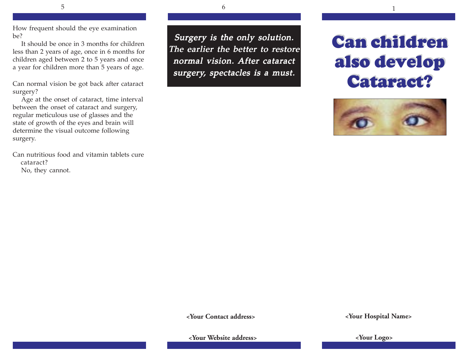How frequent should the eye examination be?

It should be once in 3 months for children less than 2 years of age, once in 6 months for children aged between 2 to 5 years and once a year for children more than 5 years of age.

Can normal vision be got back after cataract surgery?

Age at the onset of cataract, time interval between the onset of cataract and surgery, regular meticulous use of glasses and the state of growth of the eyes and brain will determine the visual outcome following surgery.

Can nutritious food and vitamin tablets cure cataract? No, they cannot.

Surgery is the only solution. The earlier the better to restore normal vision. After cataract surgery, spectacles is a must.

# **Can children Can children also develop also develop Cataract? Cataract?**



 **<Your Contact address>**

 **<Your Hospital Name>**

 **<Your Website address>**

 **<Your Logo>**